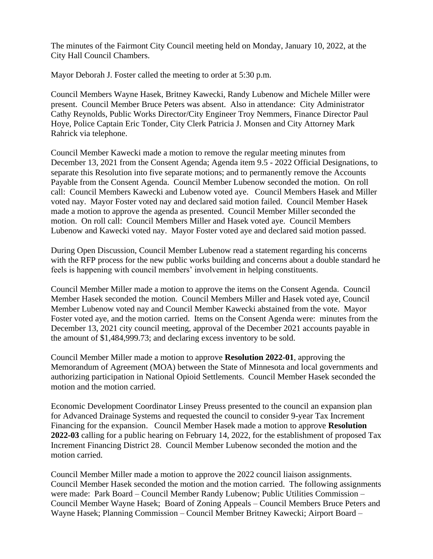The minutes of the Fairmont City Council meeting held on Monday, January 10, 2022, at the City Hall Council Chambers.

Mayor Deborah J. Foster called the meeting to order at 5:30 p.m.

Council Members Wayne Hasek, Britney Kawecki, Randy Lubenow and Michele Miller were present. Council Member Bruce Peters was absent. Also in attendance: City Administrator Cathy Reynolds, Public Works Director/City Engineer Troy Nemmers, Finance Director Paul Hoye, Police Captain Eric Tonder, City Clerk Patricia J. Monsen and City Attorney Mark Rahrick via telephone.

Council Member Kawecki made a motion to remove the regular meeting minutes from December 13, 2021 from the Consent Agenda; Agenda item 9.5 - 2022 Official Designations, to separate this Resolution into five separate motions; and to permanently remove the Accounts Payable from the Consent Agenda. Council Member Lubenow seconded the motion. On roll call: Council Members Kawecki and Lubenow voted aye. Council Members Hasek and Miller voted nay. Mayor Foster voted nay and declared said motion failed. Council Member Hasek made a motion to approve the agenda as presented. Council Member Miller seconded the motion. On roll call: Council Members Miller and Hasek voted aye. Council Members Lubenow and Kawecki voted nay. Mayor Foster voted aye and declared said motion passed.

During Open Discussion, Council Member Lubenow read a statement regarding his concerns with the RFP process for the new public works building and concerns about a double standard he feels is happening with council members' involvement in helping constituents.

Council Member Miller made a motion to approve the items on the Consent Agenda. Council Member Hasek seconded the motion. Council Members Miller and Hasek voted aye, Council Member Lubenow voted nay and Council Member Kawecki abstained from the vote. Mayor Foster voted aye, and the motion carried. Items on the Consent Agenda were: minutes from the December 13, 2021 city council meeting, approval of the December 2021 accounts payable in the amount of \$1,484,999.73; and declaring excess inventory to be sold.

Council Member Miller made a motion to approve **Resolution 2022-01**, approving the Memorandum of Agreement (MOA) between the State of Minnesota and local governments and authorizing participation in National Opioid Settlements. Council Member Hasek seconded the motion and the motion carried.

Economic Development Coordinator Linsey Preuss presented to the council an expansion plan for Advanced Drainage Systems and requested the council to consider 9-year Tax Increment Financing for the expansion. Council Member Hasek made a motion to approve **Resolution 2022-03** calling for a public hearing on February 14, 2022, for the establishment of proposed Tax Increment Financing District 28. Council Member Lubenow seconded the motion and the motion carried.

Council Member Miller made a motion to approve the 2022 council liaison assignments. Council Member Hasek seconded the motion and the motion carried. The following assignments were made: Park Board – Council Member Randy Lubenow; Public Utilities Commission – Council Member Wayne Hasek; Board of Zoning Appeals – Council Members Bruce Peters and Wayne Hasek; Planning Commission – Council Member Britney Kawecki; Airport Board –